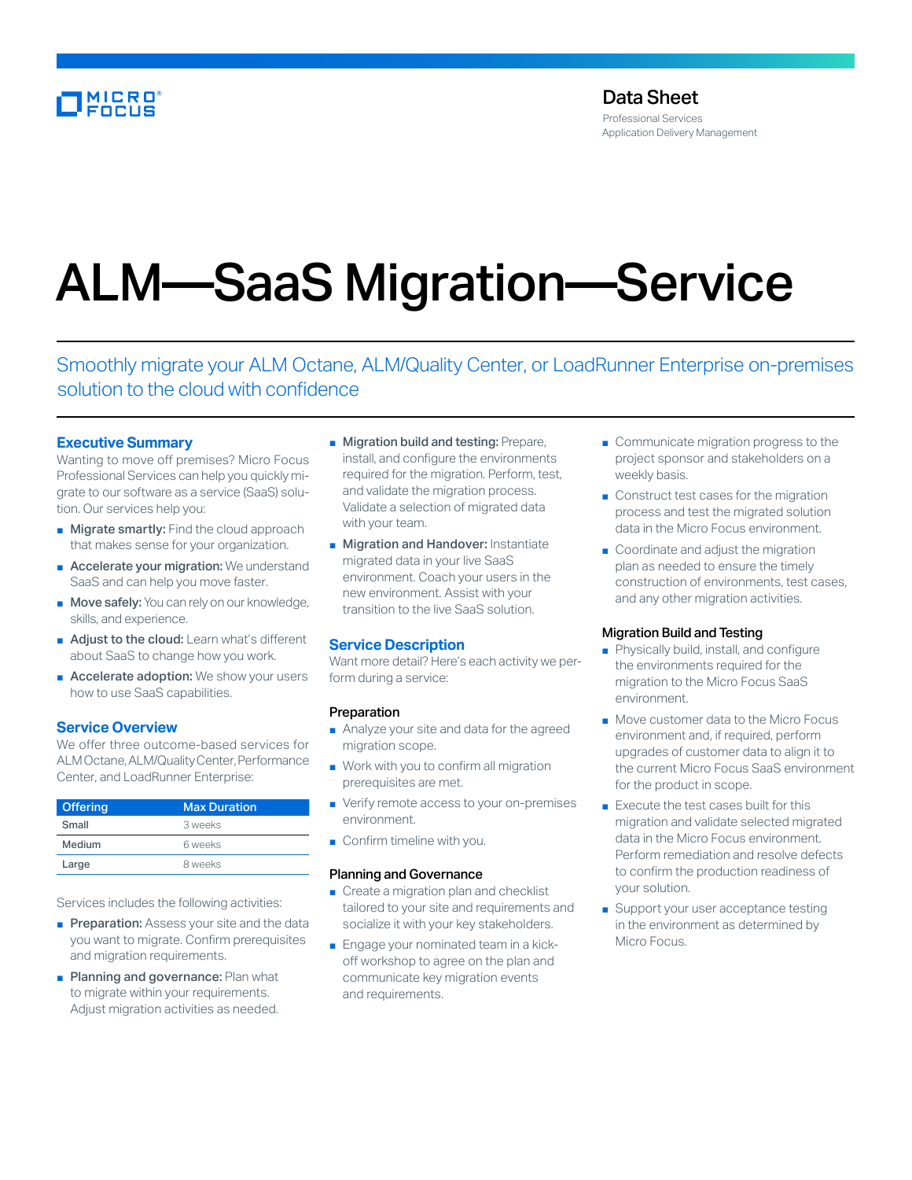# MICRO<br>Encus

Professional Services Application Delivery Management

# ALM—SaaS Migration—Service

Smoothly migrate your ALM Octane, ALM/Quality Center, or LoadRunner Enterprise on-premises solution to the cloud with confidence

# **Executive Summary**

Wanting to move off premises? Micro Focus Professional Services can help you quickly migrate to our software as a service (SaaS) solution. Our services help you:

- Migrate smartly: Find the cloud approach that makes sense for your organization.
- Accelerate your migration: We understand SaaS and can help you move faster.
- Move safely: You can rely on our knowledge, skills, and experience.
- Adjust to the cloud: Learn what's different about SaaS to change how you work.
- Accelerate adoption: We show your users how to use SaaS capabilities.

# **Service Overview**

We offer three outcome-based services for ALM Octane, ALM/Quality Center, Performance Center, and LoadRunner Enterprise:

| <b>Offering</b> | <b>Max Duration</b> |
|-----------------|---------------------|
| Small           | 3 weeks             |
| Medium          | 6 weeks             |
| Large           | 8 weeks             |

Services includes the following activities:

- **Preparation:** Assess your site and the data you want to migrate. Confirm prerequisites and migration requirements.
- Planning and governance: Plan what to migrate within your requirements. Adjust migration activities as needed.
- Migration build and testing: Prepare, install, and configure the environments required for the migration. Perform, test, and validate the migration process. Validate a selection of migrated data with your team.
- Migration and Handover: Instantiate migrated data in your live SaaS environment. Coach your users in the new environment. Assist with your transition to the live SaaS solution.

# **Service Description**

Want more detail? Here's each activity we perform during a service:

## Preparation

- Analyze your site and data for the agreed migration scope.
- Work with you to confirm all migration prerequisites are met.
- Verify remote access to your on-premises environment.
- Confirm timeline with you.

#### Planning and Governance

- Create a migration plan and checklist tailored to your site and requirements and socialize it with your key stakeholders.
- Engage your nominated team in a kickoff workshop to agree on the plan and communicate key migration events and requirements.
- Communicate migration progress to the project sponsor and stakeholders on a weekly basis.
- Construct test cases for the migration process and test the migrated solution data in the Micro Focus environment.
- Coordinate and adjust the migration plan as needed to ensure the timely construction of environments, test cases, and any other migration activities.

# Migration Build and Testing

- Physically build, install, and configure the environments required for the migration to the Micro Focus SaaS environment.
- Move customer data to the Micro Focus environment and, if required, perform upgrades of customer data to align it to the current Micro Focus SaaS environment for the product in scope.
- Execute the test cases built for this migration and validate selected migrated data in the Micro Focus environment. Perform remediation and resolve defects to confirm the production readiness of your solution.
- Support your user acceptance testing in the environment as determined by Micro Focus.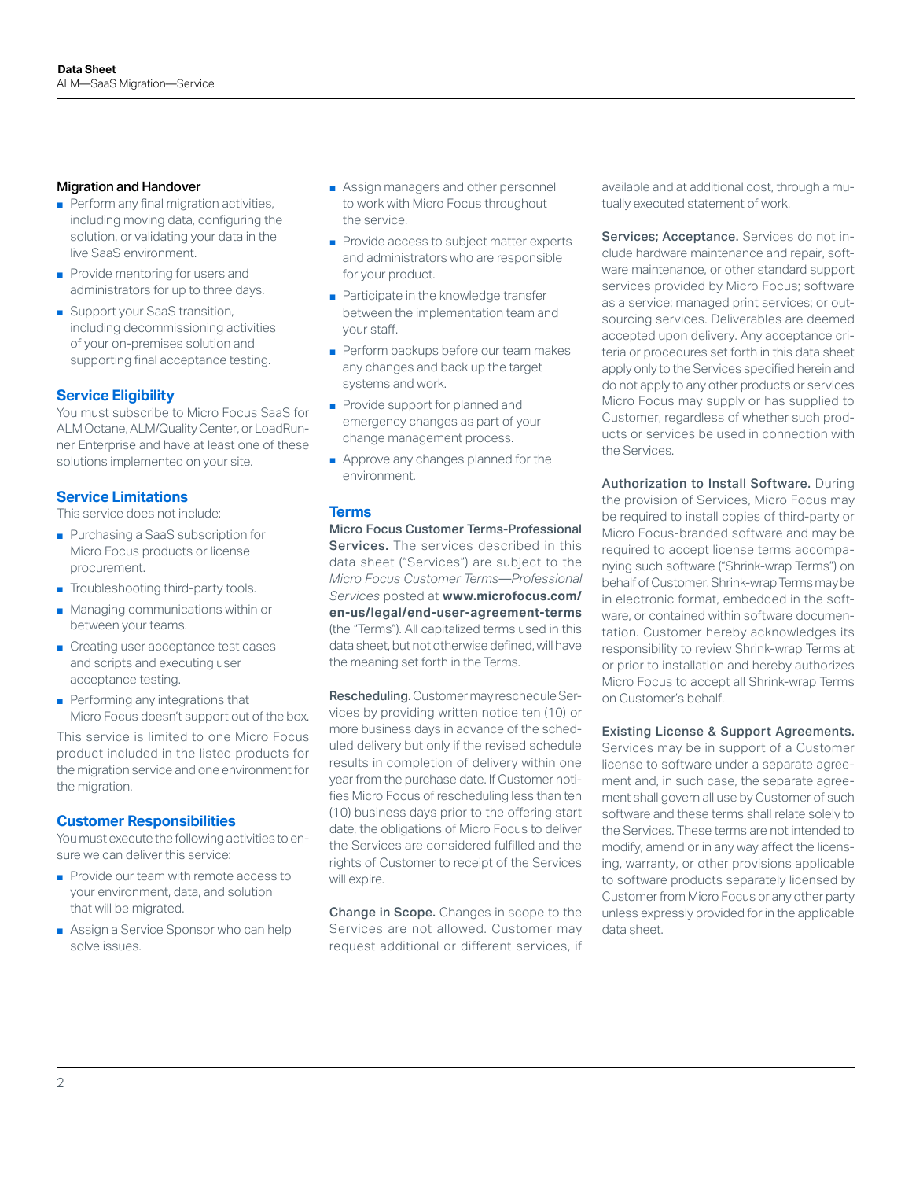#### Migration and Handover

- Perform any final migration activities, including moving data, configuring the solution, or validating your data in the live SaaS environment.
- Provide mentoring for users and administrators for up to three days.
- Support your SaaS transition, including decommissioning activities of your on-premises solution and supporting final acceptance testing.

## **Service Eligibility**

You must subscribe to Micro Focus SaaS for ALM Octane, ALM/Quality Center, or LoadRunner Enterprise and have at least one of these solutions implemented on your site.

# **Service Limitations**

This service does not include:

- Purchasing a SaaS subscription for Micro Focus products or license procurement.
- Troubleshooting third-party tools.
- Managing communications within or between your teams.
- Creating user acceptance test cases and scripts and executing user acceptance testing.
- Performing any integrations that Micro Focus doesn't support out of the box.

This service is limited to one Micro Focus product included in the listed products for the migration service and one environment for the migration.

#### **Customer Responsibilities**

You must execute the following activities to ensure we can deliver this service:

- Provide our team with remote access to your environment, data, and solution that will be migrated.
- Assign a Service Sponsor who can help solve issues.
- Assign managers and other personnel to work with Micro Focus throughout the service.
- Provide access to subject matter experts and administrators who are responsible for your product.
- Participate in the knowledge transfer between the implementation team and your staff.
- Perform backups before our team makes any changes and back up the target systems and work.
- Provide support for planned and emergency changes as part of your change management process.
- Approve any changes planned for the environment.

#### **Terms**

Micro Focus Customer Terms-Professional Services. The services described in this data sheet ("Services") are subject to the *Micro Focus Customer Terms—Professional Services* posted at **[www.microfocus.com/](https://www.microfocus.com/en-us/legal/end-user-agreement-terms) [en-us/legal/end-user-agreement-terms](https://www.microfocus.com/en-us/legal/end-user-agreement-terms)** (the "Terms"). All capitalized terms used in this data sheet, but not otherwise defined, will have the meaning set forth in the Terms.

Rescheduling. Customer may reschedule Services by providing written notice ten (10) or more business days in advance of the scheduled delivery but only if the revised schedule results in completion of delivery within one year from the purchase date. If Customer notifies Micro Focus of rescheduling less than ten (10) business days prior to the offering start date, the obligations of Micro Focus to deliver the Services are considered fulfilled and the rights of Customer to receipt of the Services will expire.

Change in Scope. Changes in scope to the Services are not allowed. Customer may request additional or different services, if available and at additional cost, through a mutually executed statement of work.

Services; Acceptance. Services do not include hardware maintenance and repair, software maintenance, or other standard support services provided by Micro Focus; software as a service; managed print services; or outsourcing services. Deliverables are deemed accepted upon delivery. Any acceptance criteria or procedures set forth in this data sheet apply only to the Services specified herein and do not apply to any other products or services Micro Focus may supply or has supplied to Customer, regardless of whether such products or services be used in connection with the Services.

Authorization to Install Software. During the provision of Services, Micro Focus may be required to install copies of third-party or Micro Focus-branded software and may be required to accept license terms accompanying such software ("Shrink-wrap Terms") on behalf of Customer. Shrink-wrap Terms may be in electronic format, embedded in the software, or contained within software documentation. Customer hereby acknowledges its responsibility to review Shrink-wrap Terms at or prior to installation and hereby authorizes Micro Focus to accept all Shrink-wrap Terms on Customer's behalf.

#### Existing License & Support Agreements.

Services may be in support of a Customer license to software under a separate agreement and, in such case, the separate agreement shall govern all use by Customer of such software and these terms shall relate solely to the Services. These terms are not intended to modify, amend or in any way affect the licensing, warranty, or other provisions applicable to software products separately licensed by Customer from Micro Focus or any other party unless expressly provided for in the applicable data sheet.